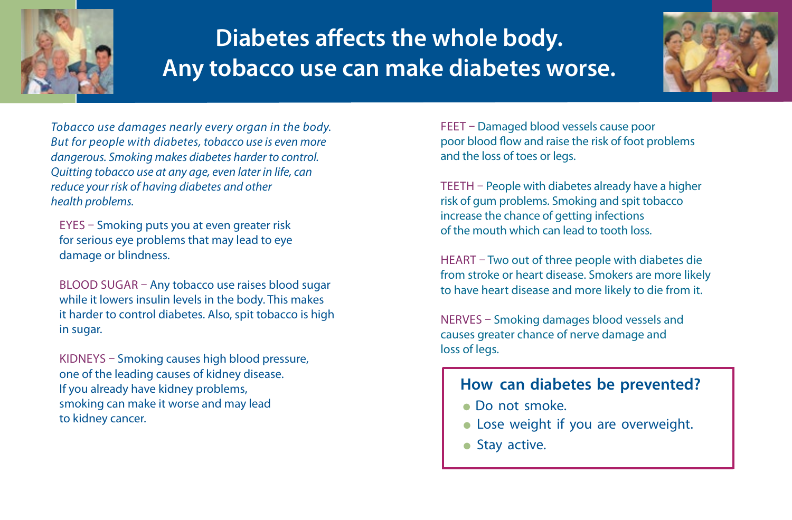

## **Diabetes affects the whole body. Any tobacco use can make diabetes worse.**



*Tobacco use damages nearly every organ in the body. But for people with diabetes, tobacco use is even more dangerous. Smoking makes diabetes harder to control. Quitting tobacco use at any age, even later in life, can reduce your risk of having diabetes and other health problems.*

EYES – Smoking puts you at even greater risk for serious eye problems that may lead to eye damage or blindness.

BLOOD SUGAR – Any tobacco use raises blood sugar while it lowers insulin levels in the body. This makes it harder to control diabetes. Also, spit tobacco is high in sugar.

KIDNEYS – Smoking causes high blood pressure, one of the leading causes of kidney disease. If you already have kidney problems, smoking can make it worse and may lead to kidney cancer.

FEET – Damaged blood vessels cause poor poor blood flow and raise the risk of foot problems and the loss of toes or legs.

TEETH – People with diabetes already have a higher risk of gum problems. Smoking and spit tobacco increase the chance of getting infections of the mouth which can lead to tooth loss.

HEART – Two out of three people with diabetes die from stroke or heart disease. Smokers are more likely to have heart disease and more likely to die from it.

NERVES – Smoking damages blood vessels and causes greater chance of nerve damage and loss of legs.

## **How can diabetes be prevented?**

- Do not smoke.
- Lose weight if you are overweight.
- $\bullet$  Stay active.